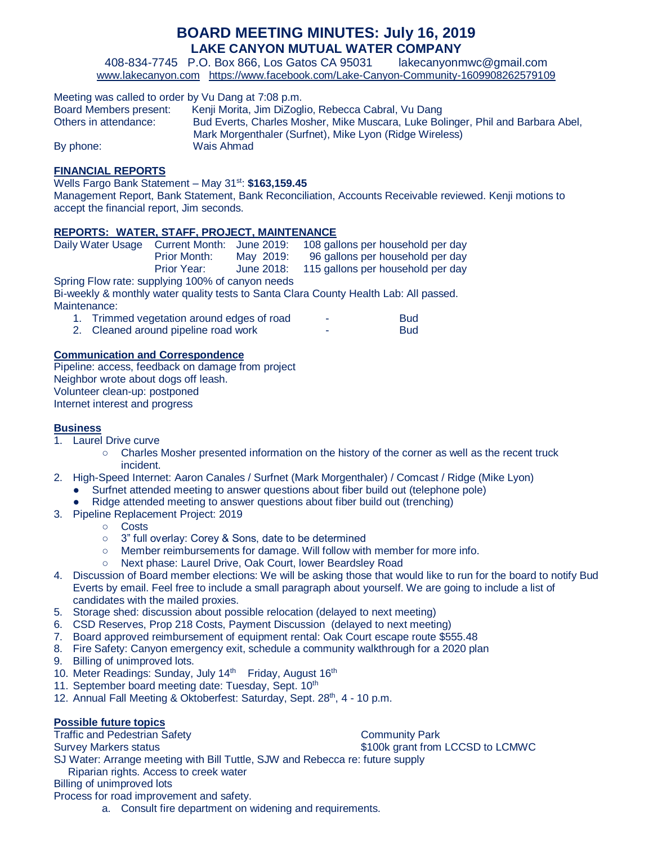# **BOARD MEETING MINUTES: July 16, 2019 LAKE CANYON MUTUAL WATER COMPANY**

408-834-7745 P.O. Box 866, Los Gatos CA 95031 lakecanyonmwc@gmail.com [www.lakecanyon.com](http://h/) <https://www.facebook.com/Lake-Canyon-Community-1609908262579109>

| Meeting was called to order by Vu Dang at 7:08 p.m. |                                                                                 |  |  |  |  |  |  |  |
|-----------------------------------------------------|---------------------------------------------------------------------------------|--|--|--|--|--|--|--|
| Board Members present:                              | Kenji Morita, Jim DiZoglio, Rebecca Cabral, Vu Dang                             |  |  |  |  |  |  |  |
| Others in attendance:                               | Bud Everts, Charles Mosher, Mike Muscara, Luke Bolinger, Phil and Barbara Abel, |  |  |  |  |  |  |  |
|                                                     | Mark Morgenthaler (Surfnet), Mike Lyon (Ridge Wireless)                         |  |  |  |  |  |  |  |
| By phone:                                           | Wais Ahmad                                                                      |  |  |  |  |  |  |  |

#### **FINANCIAL REPORTS**

Wells Fargo Bank Statement – May 31<sup>st</sup>: \$163,159.45

Management Report, Bank Statement, Bank Reconciliation, Accounts Receivable reviewed. Kenji motions to accept the financial report, Jim seconds.

### **REPORTS: WATER, STAFF, PROJECT, MAINTENANCE**

| Daily Water Usage Current Month: June 2019:      |                     |            | 108 gallons per household per day |  |  |  |  |  |
|--------------------------------------------------|---------------------|------------|-----------------------------------|--|--|--|--|--|
|                                                  | <b>Prior Month:</b> | May 2019:  | 96 gallons per household per day  |  |  |  |  |  |
|                                                  | Prior Year:         | June 2018: | 115 gallons per household per day |  |  |  |  |  |
| Spring Flow rate: supplying 100% of canyon needs |                     |            |                                   |  |  |  |  |  |
|                                                  |                     |            |                                   |  |  |  |  |  |

Bi-weekly & monthly water quality tests to Santa Clara County Health Lab: All passed. Maintenance:

|  |  | Trimmed vegetation around edges of road | Bud |
|--|--|-----------------------------------------|-----|
|  |  |                                         |     |

2. Cleaned around pipeline road work **-** The Bud

### **Communication and Correspondence**

Pipeline: access, feedback on damage from project Neighbor wrote about dogs off leash. Volunteer clean-up: postponed Internet interest and progress

## **Business**

- 1. Laurel Drive curve
	- Charles Mosher presented information on the history of the corner as well as the recent truck incident.
- 2. High-Speed Internet: Aaron Canales / Surfnet (Mark Morgenthaler) / Comcast / Ridge (Mike Lyon)
	- Surfnet attended meeting to answer questions about fiber build out (telephone pole)
		- Ridge attended meeting to answer questions about fiber build out (trenching)
- 3. Pipeline Replacement Project: 2019
	- Costs
	- 3" full overlay: Corey & Sons, date to be determined<br>○ Member reimbursements for damage. Will follow with
	- Member reimbursements for damage. Will follow with member for more info.
	- Next phase: Laurel Drive, Oak Court, lower Beardsley Road
- 4. Discussion of Board member elections: We will be asking those that would like to run for the board to notify Bud Everts by email. Feel free to include a small paragraph about yourself. We are going to include a list of candidates with the mailed proxies.
- 5. Storage shed: discussion about possible relocation (delayed to next meeting)
- 6. CSD Reserves, Prop 218 Costs, Payment Discussion (delayed to next meeting)
- 7. Board approved reimbursement of equipment rental: Oak Court escape route \$555.48
- 8. Fire Safety: Canyon emergency exit, schedule a community walkthrough for a 2020 plan
- 9. Billing of unimproved lots.
- 10. Meter Readings: Sunday, July 14<sup>th</sup> Friday, August 16<sup>th</sup>
- 11. September board meeting date: Tuesday, Sept. 10<sup>th</sup>
- 12. Annual Fall Meeting & Oktoberfest: Saturday, Sept. 28th, 4 10 p.m.

#### **Possible future topics**

Traffic and Pedestrian Safety Community Park

Survey Markers status **\$100k grant from LCCSD to LCMWC** 

SJ Water: Arrange meeting with Bill Tuttle, SJW and Rebecca re: future supply Riparian rights. Access to creek water

Billing of unimproved lots

Process for road improvement and safety.

a. Consult fire department on widening and requirements.